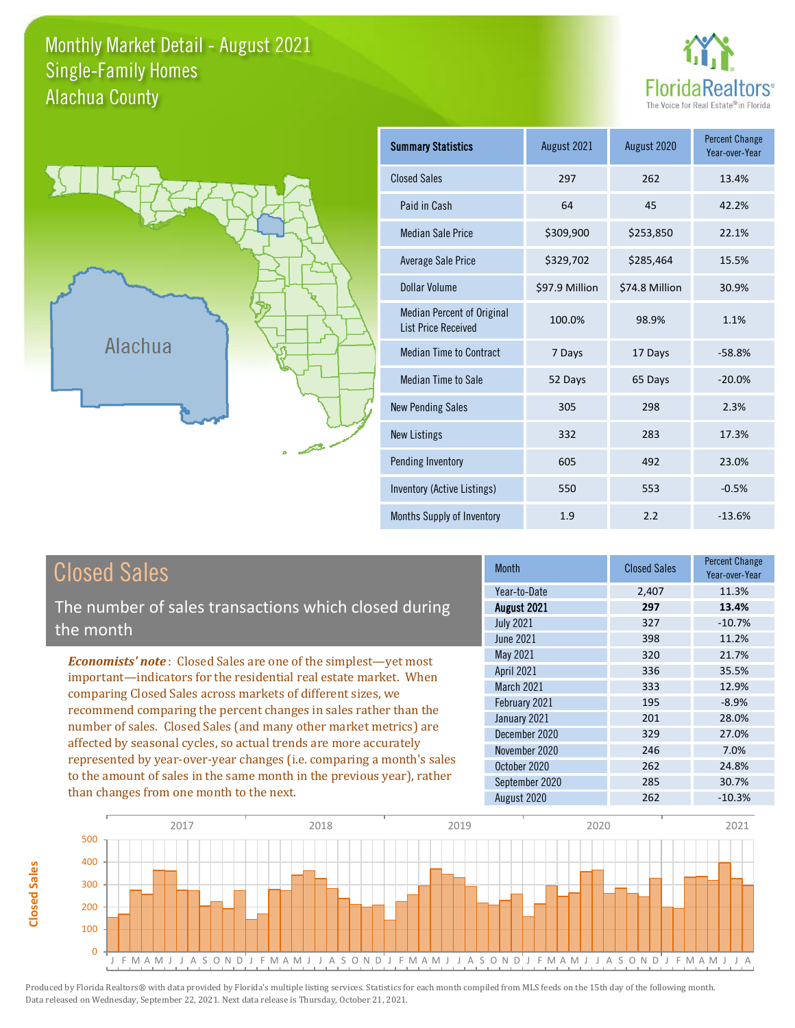#### Monthly Market Detail - August 2021 Alachua County Single-Family Homes





**Closed Sales**

**Closed Sales** 

| <b>Summary Statistics</b>                                       | August 2021    | August 2020    | <b>Percent Change</b><br>Year-over-Year |
|-----------------------------------------------------------------|----------------|----------------|-----------------------------------------|
| <b>Closed Sales</b>                                             | 297            | 262            | 13.4%                                   |
| Paid in Cash                                                    | 64             | 45             | 42.2%                                   |
| <b>Median Sale Price</b>                                        | \$309,900      | \$253,850      | 22.1%                                   |
| <b>Average Sale Price</b>                                       | \$329,702      | \$285,464      | 15.5%                                   |
| Dollar Volume                                                   | \$97.9 Million | \$74.8 Million | 30.9%                                   |
| <b>Median Percent of Original</b><br><b>List Price Received</b> | 100.0%         | 98.9%          | 1.1%                                    |
| <b>Median Time to Contract</b>                                  | 7 Days         | 17 Days        | $-58.8%$                                |
| <b>Median Time to Sale</b>                                      | 52 Days        | 65 Days        | $-20.0%$                                |
| <b>New Pending Sales</b>                                        | 305            | 298            | 2.3%                                    |
| <b>New Listings</b>                                             | 332            | 283            | 17.3%                                   |
| Pending Inventory                                               | 605            | 492            | 23.0%                                   |
| Inventory (Active Listings)                                     | 550            | 553            | $-0.5%$                                 |
| Months Supply of Inventory                                      | 1.9            | 2.2            | $-13.6%$                                |

| <b>Closed Sales</b>                                                                                                                                                                                                                                                        | <b>Month</b>      | <b>Closed Sales</b> | <b>Percent Change</b><br>Year-over-Year |
|----------------------------------------------------------------------------------------------------------------------------------------------------------------------------------------------------------------------------------------------------------------------------|-------------------|---------------------|-----------------------------------------|
|                                                                                                                                                                                                                                                                            | Year-to-Date      | 2,407               | 11.3%                                   |
| The number of sales transactions which closed during                                                                                                                                                                                                                       | August 2021       | 297                 | 13.4%                                   |
| the month                                                                                                                                                                                                                                                                  | <b>July 2021</b>  | 327                 | $-10.7%$                                |
|                                                                                                                                                                                                                                                                            | <b>June 2021</b>  | 398                 | 11.2%                                   |
| <b>Economists' note:</b> Closed Sales are one of the simplest—yet most                                                                                                                                                                                                     | May 2021          | 320                 | 21.7%                                   |
| important-indicators for the residential real estate market. When                                                                                                                                                                                                          | April 2021        | 336                 | 35.5%                                   |
| comparing Closed Sales across markets of different sizes, we<br>recommend comparing the percent changes in sales rather than the<br>number of sales. Closed Sales (and many other market metrics) are<br>affected by seasonal cycles, so actual trends are more accurately | <b>March 2021</b> | 333                 | 12.9%                                   |
|                                                                                                                                                                                                                                                                            | February 2021     | 195                 | $-8.9%$                                 |
|                                                                                                                                                                                                                                                                            | January 2021      | 201                 | 28.0%                                   |
|                                                                                                                                                                                                                                                                            | December 2020     | 329                 | 27.0%                                   |
|                                                                                                                                                                                                                                                                            | November 2020     | 246                 | 7.0%                                    |
| represented by year-over-year changes (i.e. comparing a month's sales                                                                                                                                                                                                      | October 2020      | 262                 | 24.8%                                   |
| to the amount of sales in the same month in the previous year), rather                                                                                                                                                                                                     | September 2020    | 285                 | 30.7%                                   |
| than changes from one month to the next.                                                                                                                                                                                                                                   | August 2020       | 262                 | $-10.3%$                                |

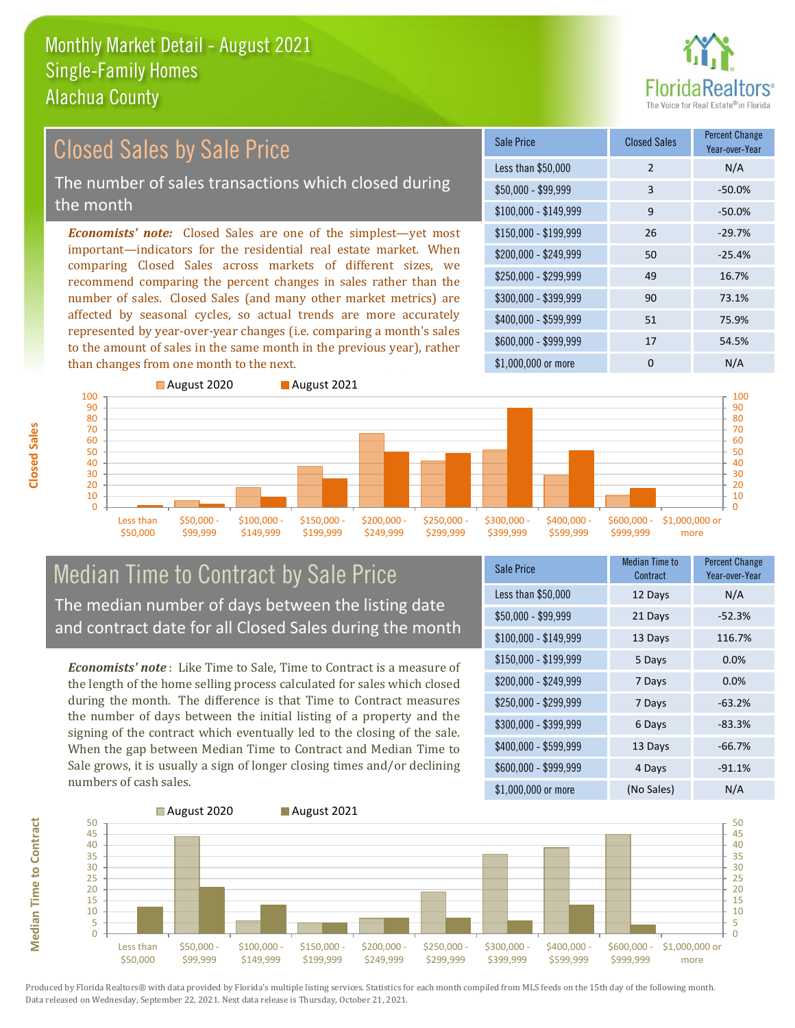

#### *Economists' note:* Closed Sales are one of the simplest—yet most important—indicators for the residential real estate market. When comparing Closed Sales across markets of different sizes, we recommend comparing the percent changes in sales rather than the number of sales. Closed Sales (and many other market metrics) are affected by seasonal cycles, so actual trends are more accurately represented by year-over-year changes (i.e. comparing a month's sales to the amount of sales in the same month in the previous year), rather than changes from one month to the next. \$1,000,000 or more 0 0 N/A \$250,000 - \$299,999 49 16.7% \$300,000 - \$399,999 90 73.1% \$400,000 - \$599,999 51 75.9% \$600,000 - \$999,999 17 54.5% \$150,000 - \$199,999 26 -29.7% \$200,000 - \$249,999 50 -25.4% \$100,000 - \$149,999 9 -50.0% Sale Price Closed Sales Percent Change Year-over-Year Less than \$50,000 2 N/A \$50,000 - \$99,999 3 -50.0% Closed Sales by Sale Price The number of sales transactions which closed during the month



#### Median Time to Contract by Sale Price The median number of days between the listing date and contract date for all Closed Sales during the month

*Economists' note* : Like Time to Sale, Time to Contract is a measure of the length of the home selling process calculated for sales which closed during the month. The difference is that Time to Contract measures the number of days between the initial listing of a property and the signing of the contract which eventually led to the closing of the sale. When the gap between Median Time to Contract and Median Time to Sale grows, it is usually a sign of longer closing times and/or declining numbers of cash sales.

| <b>Sale Price</b>     | <b>Median Time to</b><br>Contract | <b>Percent Change</b><br>Year-over-Year |
|-----------------------|-----------------------------------|-----------------------------------------|
| Less than \$50,000    | 12 Days                           | N/A                                     |
| $$50,000 - $99,999$   | 21 Days                           | $-52.3%$                                |
| $$100,000 - $149,999$ | 13 Days                           | 116.7%                                  |
| $$150,000 - $199,999$ | 5 Days                            | 0.0%                                    |
| \$200,000 - \$249,999 | 7 Days                            | 0.0%                                    |
| \$250,000 - \$299,999 | 7 Days                            | $-63.2%$                                |
| \$300,000 - \$399,999 | 6 Days                            | $-83.3%$                                |
| \$400,000 - \$599,999 | 13 Days                           | $-66.7%$                                |
| \$600,000 - \$999,999 | 4 Days                            | $-91.1%$                                |
| \$1,000,000 or more   | (No Sales)                        | N/A                                     |



Produced by Florida Realtors® with data provided by Florida's multiple listing services. Statistics for each month compiled from MLS feeds on the 15th day of the following month. Data released on Wednesday, September 22, 2021. Next data release is Thursday, October 21, 2021.

**Median Time to Contract**

**Median Time to Contract**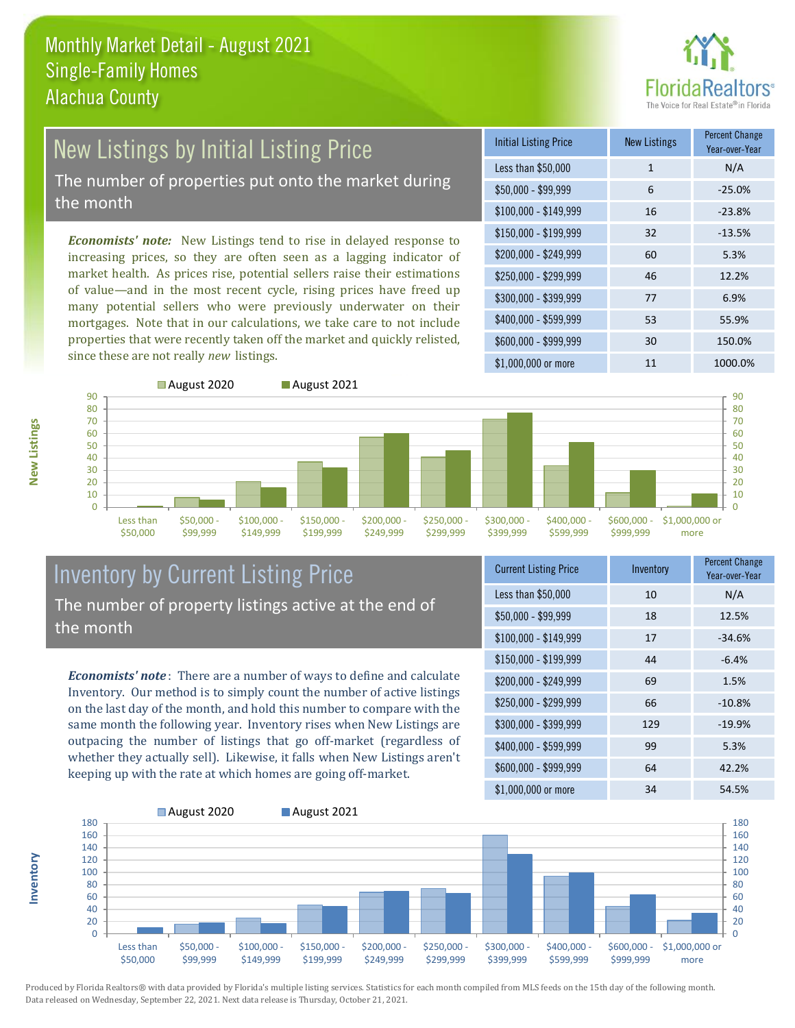

# New Listings by Initial Listing Price

The number of properties put onto the market during the month

*Economists' note:* New Listings tend to rise in delayed response to increasing prices, so they are often seen as a lagging indicator of market health. As prices rise, potential sellers raise their estimations of value—and in the most recent cycle, rising prices have freed up many potential sellers who were previously underwater on their mortgages. Note that in our calculations, we take care to not include properties that were recently taken off the market and quickly relisted, since these are not really *new* listings.





## Inventory by Current Listing Price The number of property listings active at the end of the month

*Economists' note* : There are a number of ways to define and calculate Inventory. Our method is to simply count the number of active listings on the last day of the month, and hold this number to compare with the same month the following year. Inventory rises when New Listings are outpacing the number of listings that go off-market (regardless of whether they actually sell). Likewise, it falls when New Listings aren't keeping up with the rate at which homes are going off-market.

| <b>Current Listing Price</b> | Inventory | <b>Percent Change</b><br>Year-over-Year |
|------------------------------|-----------|-----------------------------------------|
| Less than \$50,000           | 10        | N/A                                     |
| $$50,000 - $99,999$          | 18        | 12.5%                                   |
| $$100,000 - $149,999$        | 17        | $-34.6%$                                |
| $$150,000 - $199,999$        | 44        | $-6.4%$                                 |
| \$200,000 - \$249,999        | 69        | 1.5%                                    |
| \$250,000 - \$299,999        | 66        | $-10.8%$                                |
| \$300,000 - \$399,999        | 129       | $-19.9%$                                |
| \$400,000 - \$599,999        | 99        | 5.3%                                    |
| \$600,000 - \$999,999        | 64        | 42.2%                                   |
| \$1,000,000 or more          | 34        | 54.5%                                   |



Produced by Florida Realtors® with data provided by Florida's multiple listing services. Statistics for each month compiled from MLS feeds on the 15th day of the following month. Data released on Wednesday, September 22, 2021. Next data release is Thursday, October 21, 2021.

**Inventory**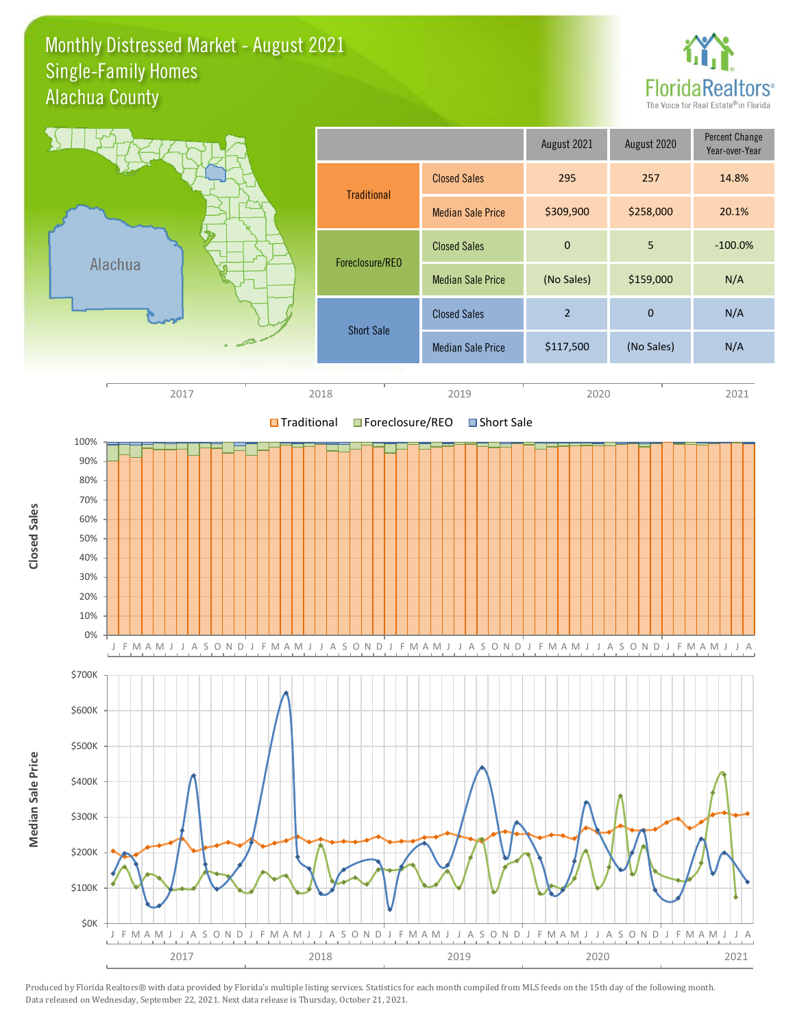#### Monthly Distressed Market - August 2021 Alachua County Single-Family Homes



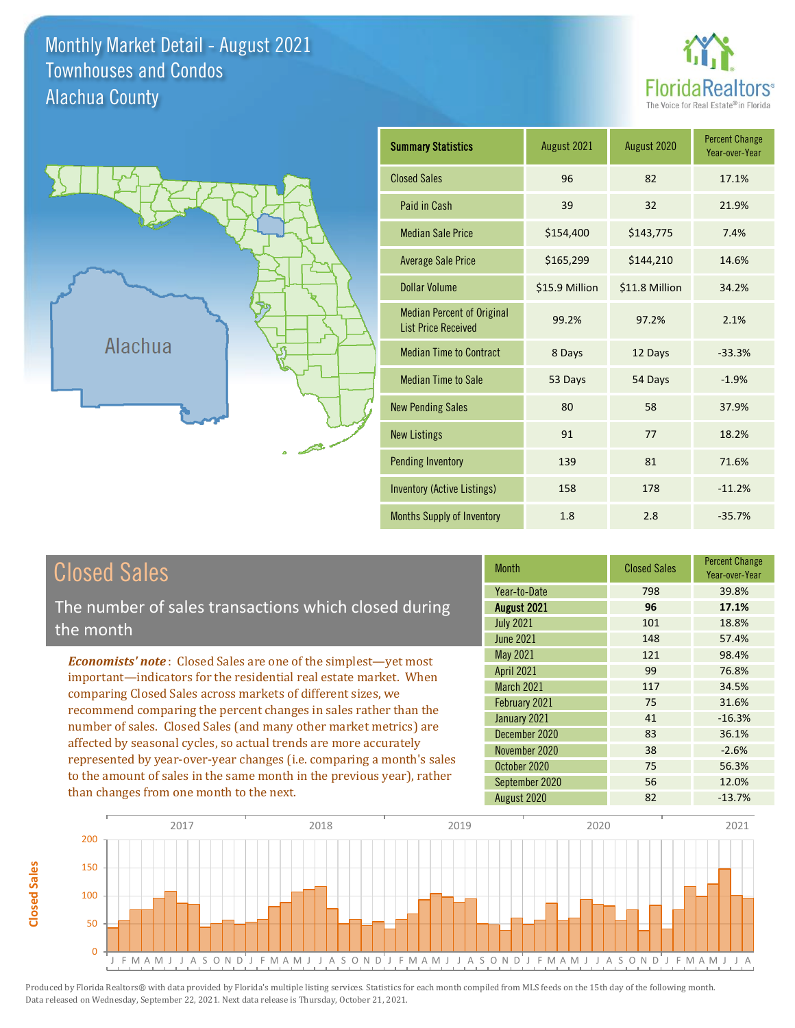Monthly Market Detail - August 2021 Alachua County Townhouses and Condos





**Closed Sales**

**Closed Sales** 

| <b>Summary Statistics</b>                                       | August 2021    | August 2020    | <b>Percent Change</b><br>Year-over-Year |
|-----------------------------------------------------------------|----------------|----------------|-----------------------------------------|
| <b>Closed Sales</b>                                             | 96             | 82             | 17.1%                                   |
| Paid in Cash                                                    | 39             | 32             | 21.9%                                   |
| <b>Median Sale Price</b>                                        | \$154,400      | \$143,775      | 7.4%                                    |
| <b>Average Sale Price</b>                                       | \$165,299      | \$144,210      | 14.6%                                   |
| <b>Dollar Volume</b>                                            | \$15.9 Million | \$11.8 Million | 34.2%                                   |
| <b>Median Percent of Original</b><br><b>List Price Received</b> | 99.2%          | 97.2%          | 2.1%                                    |
| <b>Median Time to Contract</b>                                  | 8 Days         | 12 Days        | $-33.3%$                                |
| <b>Median Time to Sale</b>                                      | 53 Days        | 54 Days        | $-1.9%$                                 |
| <b>New Pending Sales</b>                                        | 80             | 58             | 37.9%                                   |
| <b>New Listings</b>                                             | 91             | 77             | 18.2%                                   |
| <b>Pending Inventory</b>                                        | 139            | 81             | 71.6%                                   |
| Inventory (Active Listings)                                     | 158            | 178            | $-11.2%$                                |
| <b>Months Supply of Inventory</b>                               | 1.8            | 2.8            | $-35.7%$                                |

| <b>Closed Sales</b>                                                                                                                                                                                                                                                                                                                                                                                       | <b>Month</b>                                                 | <b>Closed Sales</b>     | <b>Percent Change</b><br>Year-over-Year |
|-----------------------------------------------------------------------------------------------------------------------------------------------------------------------------------------------------------------------------------------------------------------------------------------------------------------------------------------------------------------------------------------------------------|--------------------------------------------------------------|-------------------------|-----------------------------------------|
| The number of sales transactions which closed during<br>the month                                                                                                                                                                                                                                                                                                                                         | Year-to-Date<br>August 2021<br><b>July 2021</b><br>June 2021 | 798<br>96<br>101<br>148 | 39.8%<br>17.1%<br>18.8%<br>57.4%        |
| <b>Economists' note:</b> Closed Sales are one of the simplest-yet most<br>important—indicators for the residential real estate market. When<br>comparing Closed Sales across markets of different sizes, we                                                                                                                                                                                               | May 2021<br><b>April 2021</b><br>March 2021                  | 121<br>99<br>117        | 98.4%<br>76.8%<br>34.5%                 |
| recommend comparing the percent changes in sales rather than the<br>number of sales. Closed Sales (and many other market metrics) are<br>affected by seasonal cycles, so actual trends are more accurately<br>represented by year-over-year changes (i.e. comparing a month's sales<br>to the amount of sales in the same month in the previous year), rather<br>than changes from one month to the next. | February 2021<br>January 2021<br>December 2020               | 75<br>41<br>83          | 31.6%<br>$-16.3%$<br>36.1%              |
|                                                                                                                                                                                                                                                                                                                                                                                                           | November 2020<br>October 2020<br>September 2020              | 38<br>75<br>56          | $-2.6%$<br>56.3%<br>12.0%               |
|                                                                                                                                                                                                                                                                                                                                                                                                           | August 2020                                                  | 82                      | $-13.7%$                                |

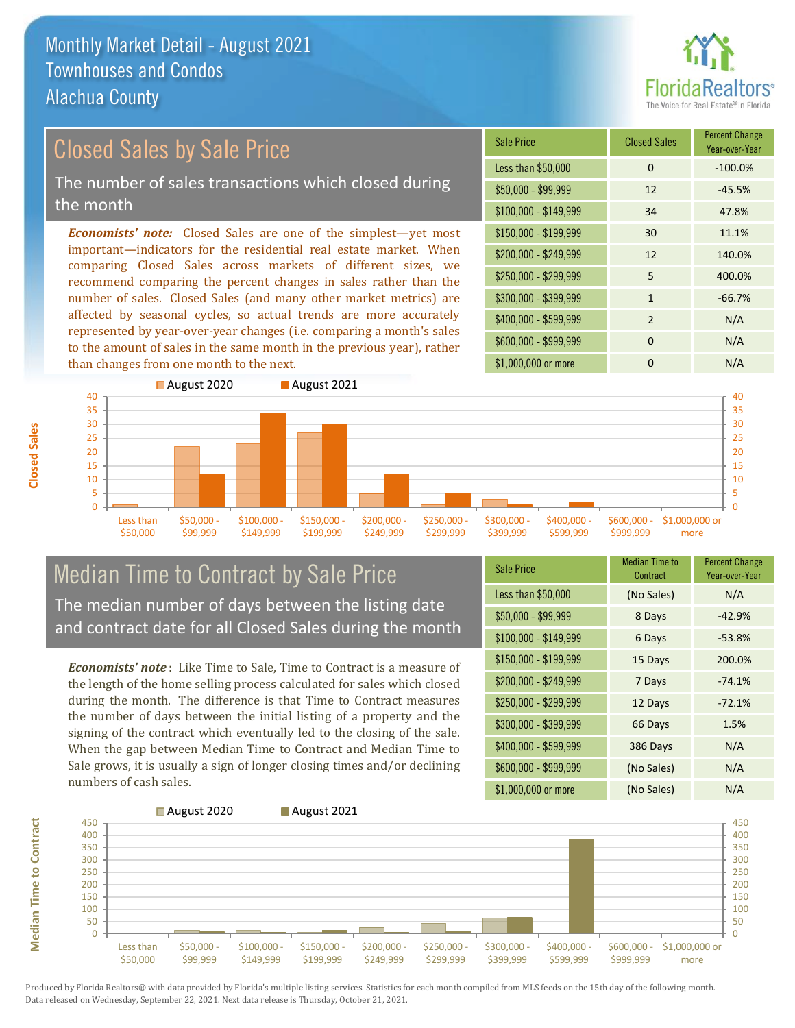

#### *Economists' note:* Closed Sales are one of the simplest—yet most important—indicators for the residential real estate market. When Closed Sales by Sale Price The number of sales transactions which closed during the month

comparing Closed Sales across markets of different sizes, we recommend comparing the percent changes in sales rather than the number of sales. Closed Sales (and many other market metrics) are affected by seasonal cycles, so actual trends are more accurately represented by year-over-year changes (i.e. comparing a month's sales to the amount of sales in the same month in the previous year), rather than changes from one month to the next.





## Median Time to Contract by Sale Price The median number of days between the listing date and contract date for all Closed Sales during the month

*Economists' note* : Like Time to Sale, Time to Contract is a measure of the length of the home selling process calculated for sales which closed during the month. The difference is that Time to Contract measures the number of days between the initial listing of a property and the signing of the contract which eventually led to the closing of the sale. When the gap between Median Time to Contract and Median Time to Sale grows, it is usually a sign of longer closing times and/or declining numbers of cash sales.

| Sale Price            | <b>Median Time to</b><br>Contract | <b>Percent Change</b><br>Year-over-Year |
|-----------------------|-----------------------------------|-----------------------------------------|
| Less than \$50,000    | (No Sales)                        | N/A                                     |
| $$50,000 - $99,999$   | 8 Days                            | $-42.9%$                                |
| $$100,000 - $149,999$ | 6 Days                            | $-53.8%$                                |
| $$150,000 - $199,999$ | 15 Days                           | 200.0%                                  |
| \$200,000 - \$249,999 | 7 Days                            | $-74.1%$                                |
| \$250,000 - \$299,999 | 12 Days                           | $-72.1%$                                |
| \$300,000 - \$399,999 | 66 Days                           | 1.5%                                    |
| \$400,000 - \$599,999 | 386 Days                          | N/A                                     |
| \$600,000 - \$999,999 | (No Sales)                        | N/A                                     |
| \$1,000,000 or more   | (No Sales)                        | N/A                                     |



**Closed Sales**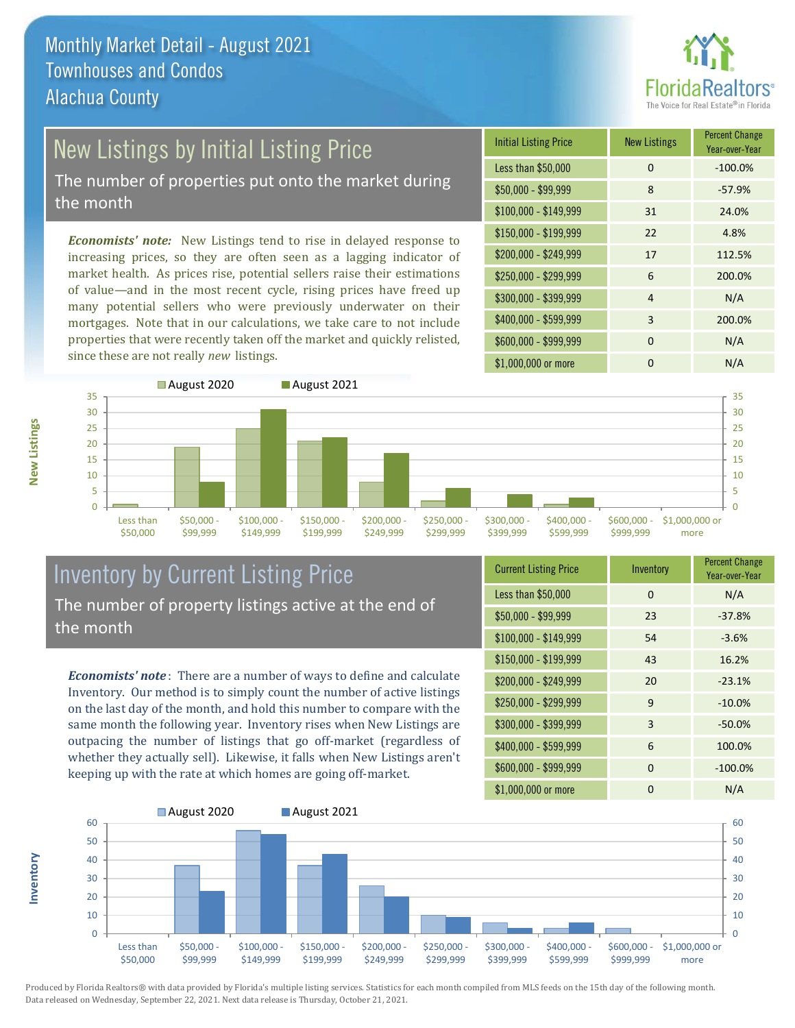

# New Listings by Initial Listing Price

The number of properties put onto the market during the month

*Economists' note:* New Listings tend to rise in delayed response to increasing prices, so they are often seen as a lagging indicator of market health. As prices rise, potential sellers raise their estimations of value—and in the most recent cycle, rising prices have freed up many potential sellers who were previously underwater on their mortgages. Note that in our calculations, we take care to not include properties that were recently taken off the market and quickly relisted, since these are not really *new* listings.

| <b>Initial Listing Price</b> | <b>New Listings</b> | <b>Percent Change</b><br>Year-over-Year |
|------------------------------|---------------------|-----------------------------------------|
| Less than \$50,000           | 0                   | $-100.0%$                               |
| $$50,000 - $99,999$          | 8                   | $-57.9%$                                |
| $$100,000 - $149,999$        | 31                  | 24.0%                                   |
| $$150,000 - $199,999$        | 22                  | 4.8%                                    |
| \$200,000 - \$249,999        | 17                  | 112.5%                                  |
| \$250,000 - \$299,999        | 6                   | 200.0%                                  |
| \$300,000 - \$399,999        | $\overline{4}$      | N/A                                     |
| \$400,000 - \$599,999        | 3                   | 200.0%                                  |
| \$600,000 - \$999,999        | $\Omega$            | N/A                                     |
| \$1,000,000 or more          | n                   | N/A                                     |



#### Inventory by Current Listing Price The number of property listings active at the end of the month

*Economists' note* : There are a number of ways to define and calculate Inventory. Our method is to simply count the number of active listings on the last day of the month, and hold this number to compare with the same month the following year. Inventory rises when New Listings are outpacing the number of listings that go off-market (regardless of whether they actually sell). Likewise, it falls when New Listings aren't keeping up with the rate at which homes are going off-market.

| <b>Current Listing Price</b> | Inventory | <b>Percent Change</b><br>Year-over-Year |
|------------------------------|-----------|-----------------------------------------|
| Less than \$50,000           | 0         | N/A                                     |
| $$50,000 - $99,999$          | 23        | $-37.8%$                                |
| $$100,000 - $149,999$        | 54        | $-3.6%$                                 |
| $$150,000 - $199,999$        | 43        | 16.2%                                   |
| \$200,000 - \$249,999        | 20        | $-23.1%$                                |
| \$250,000 - \$299,999        | 9         | $-10.0%$                                |
| \$300,000 - \$399,999        | 3         | $-50.0%$                                |
| \$400,000 - \$599,999        | 6         | 100.0%                                  |
| \$600,000 - \$999,999        | 0         | $-100.0%$                               |
| \$1,000,000 or more          | 0         | N/A                                     |



Produced by Florida Realtors® with data provided by Florida's multiple listing services. Statistics for each month compiled from MLS feeds on the 15th day of the following month. Data released on Wednesday, September 22, 2021. Next data release is Thursday, October 21, 2021.

**Inventory**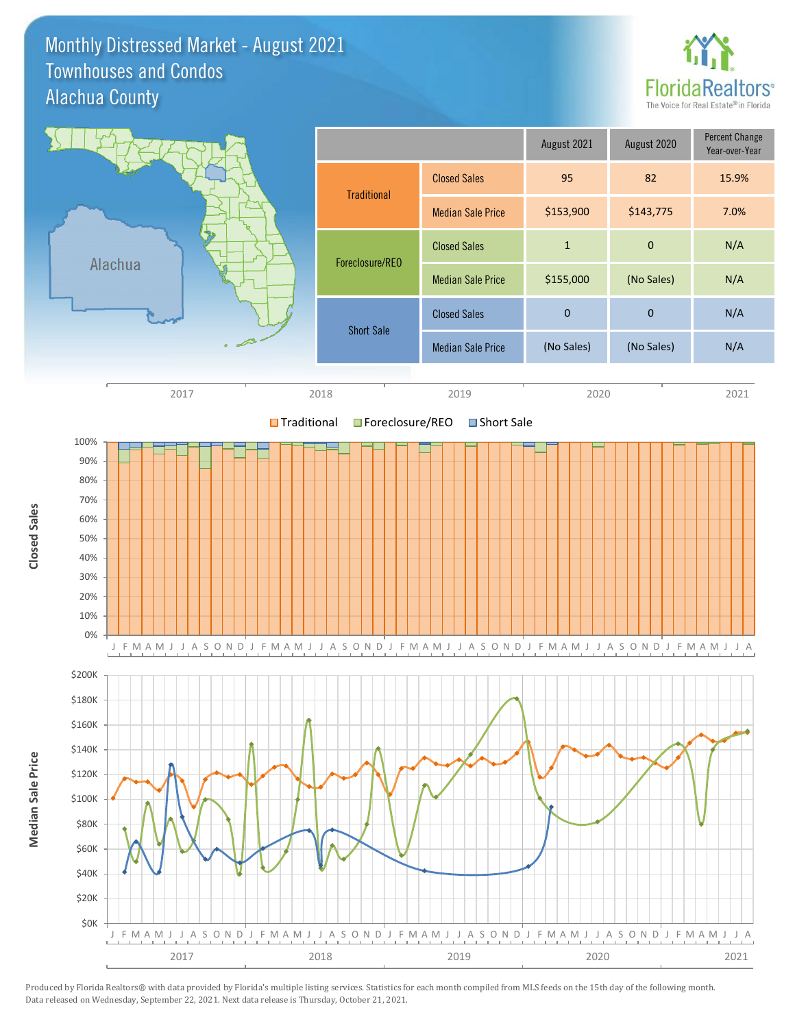#### Monthly Distressed Market - August 2021 Alachua County Townhouses and Condos



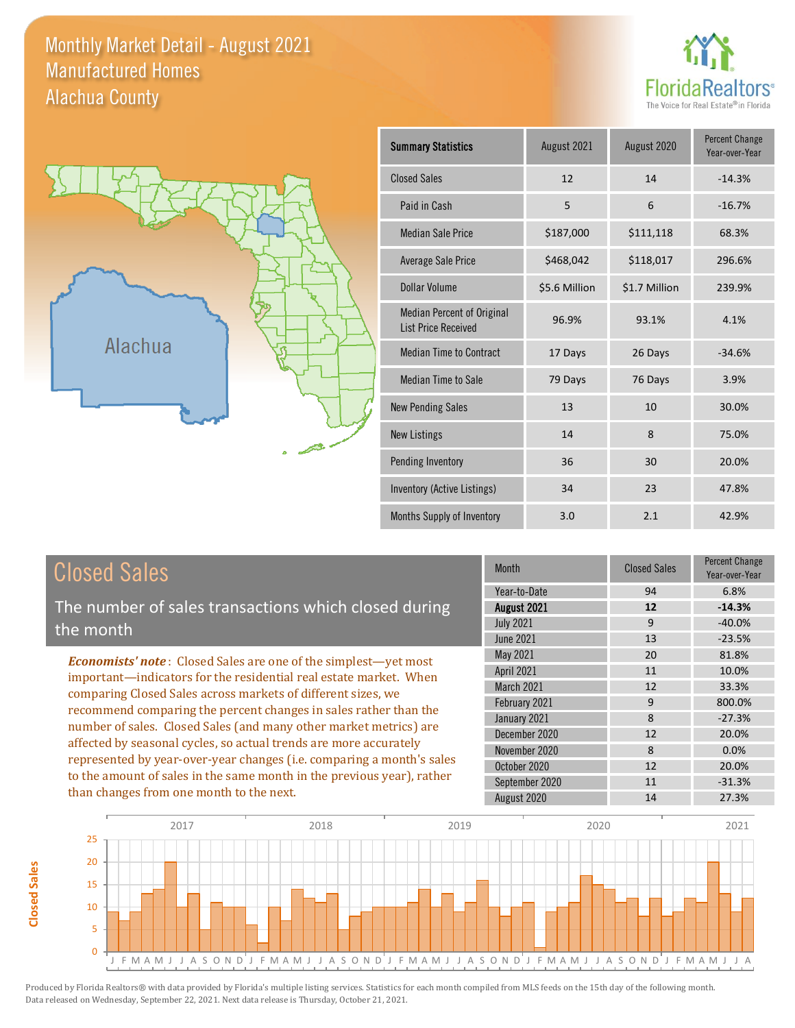#### Monthly Market Detail - August 2021 Alachua County Manufactured Homes





**Closed Sales**

**Closed Sales** 

| <b>Summary Statistics</b>                                       | August 2021   | August 2020   | <b>Percent Change</b><br>Year-over-Year |
|-----------------------------------------------------------------|---------------|---------------|-----------------------------------------|
| <b>Closed Sales</b>                                             | 12            | 14            | $-14.3%$                                |
| Paid in Cash                                                    | 5             | 6             | $-16.7%$                                |
| <b>Median Sale Price</b>                                        | \$187,000     | \$111,118     | 68.3%                                   |
| <b>Average Sale Price</b>                                       | \$468,042     | \$118,017     | 296.6%                                  |
| Dollar Volume                                                   | \$5.6 Million | \$1.7 Million | 239.9%                                  |
| <b>Median Percent of Original</b><br><b>List Price Received</b> | 96.9%         | 93.1%         | 4.1%                                    |
| <b>Median Time to Contract</b>                                  | 17 Days       | 26 Days       | $-34.6%$                                |
| <b>Median Time to Sale</b>                                      | 79 Days       | 76 Days       | 3.9%                                    |
| <b>New Pending Sales</b>                                        | 13            | 10            | 30.0%                                   |
| <b>New Listings</b>                                             | 14            | 8             | 75.0%                                   |
| Pending Inventory                                               | 36            | 30            | 20.0%                                   |
| Inventory (Active Listings)                                     | 34            | 23            | 47.8%                                   |
| Months Supply of Inventory                                      | 3.0           | 2.1           | 42.9%                                   |

| <b>Closed Sales</b>                                                                                                                    | <b>Month</b>     | <b>Closed Sales</b> | <b>Percent Change</b><br>Year-over-Year |
|----------------------------------------------------------------------------------------------------------------------------------------|------------------|---------------------|-----------------------------------------|
|                                                                                                                                        | Year-to-Date     | 94                  | 6.8%                                    |
| The number of sales transactions which closed during                                                                                   | August 2021      | 12                  | $-14.3%$                                |
| the month                                                                                                                              | <b>July 2021</b> | 9                   | $-40.0\%$                               |
|                                                                                                                                        | June 2021        | 13                  | $-23.5%$                                |
| <b>Economists' note:</b> Closed Sales are one of the simplest—yet most                                                                 | May 2021         | 20                  | 81.8%                                   |
| important-indicators for the residential real estate market. When                                                                      | April 2021       | 11                  | 10.0%                                   |
| comparing Closed Sales across markets of different sizes, we<br>recommend comparing the percent changes in sales rather than the       | March 2021       | 12                  | 33.3%                                   |
|                                                                                                                                        | February 2021    | 9                   | 800.0%                                  |
|                                                                                                                                        | January 2021     | 8                   | $-27.3%$                                |
| number of sales. Closed Sales (and many other market metrics) are<br>affected by seasonal cycles, so actual trends are more accurately | December 2020    | 12                  | 20.0%                                   |
|                                                                                                                                        | November 2020    | 8                   | 0.0%                                    |
| represented by year-over-year changes (i.e. comparing a month's sales                                                                  | October 2020     | 12                  | 20.0%                                   |
| to the amount of sales in the same month in the previous year), rather                                                                 | September 2020   | 11                  | $-31.3%$                                |
| than changes from one month to the next.                                                                                               | August 2020      | 14                  | 27.3%                                   |

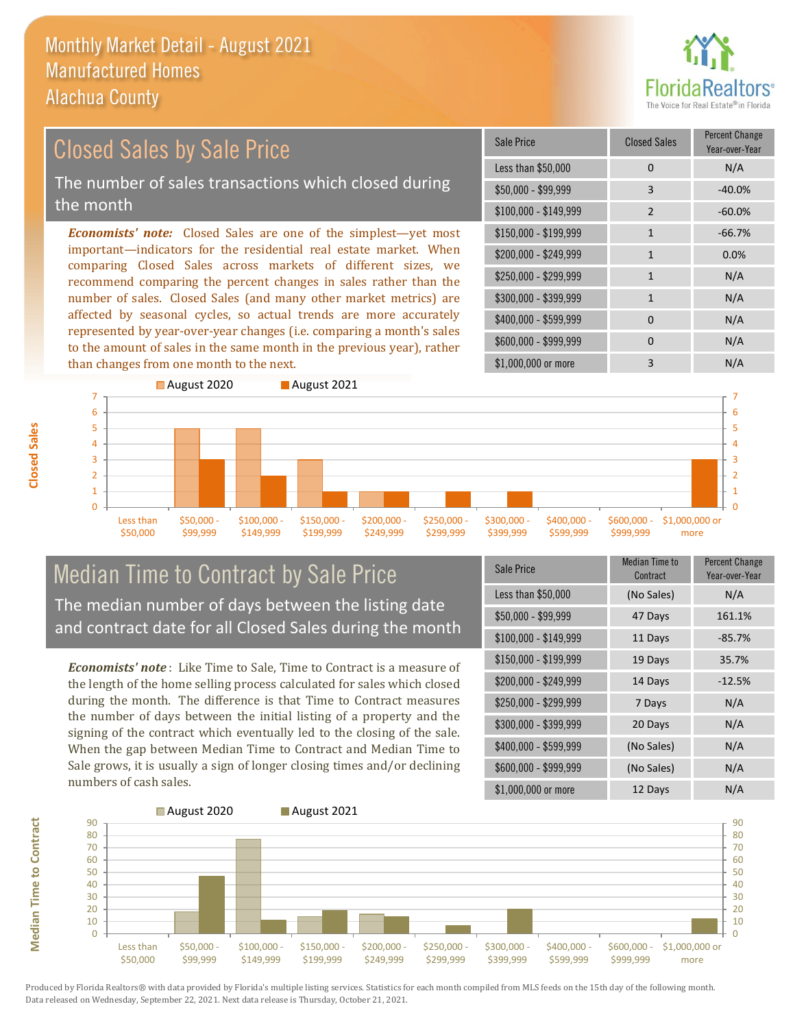

#### *Economists' note:* Closed Sales are one of the simplest—yet most important—indicators for the residential real estate market. When comparing Closed Sales across markets of different sizes, we recommend comparing the percent changes in sales rather than the number of sales. Closed Sales (and many other market metrics) are affected by seasonal cycles, so actual trends are more accurately represented by year-over-year changes (i.e. comparing a month's sales to the amount of sales in the same month in the previous year), rather than changes from one month to the next. \$1,000,000 or more 3 N/A  $$250,000 - $299,999$  1 N/A \$300,000 - \$399,999 1 N/A  $$400,000 - $599,999$  0 N/A \$600,000 - \$999,999 0 0 N/A \$150,000 - \$199,999 1 -66.7% \$200,000 - \$249,999 1 0.0%  $$100,000 - $149,999$  2 -60.0% Sale Price Closed Sales Percent Change Year-over-Year Less than  $$50,000$  0 0 N/A \$50,000 - \$99,999 3 -40.0% Closed Sales by Sale Price The number of sales transactions which closed during the month



## Median Time to Contract by Sale Price The median number of days between the listing date and contract date for all Closed Sales during the month

*Economists' note* : Like Time to Sale, Time to Contract is a measure of the length of the home selling process calculated for sales which closed during the month. The difference is that Time to Contract measures the number of days between the initial listing of a property and the signing of the contract which eventually led to the closing of the sale. When the gap between Median Time to Contract and Median Time to Sale grows, it is usually a sign of longer closing times and/or declining numbers of cash sales.

| <b>Sale Price</b>     | <b>Median Time to</b><br>Contract | <b>Percent Change</b><br>Year-over-Year |
|-----------------------|-----------------------------------|-----------------------------------------|
| Less than \$50,000    | (No Sales)                        | N/A                                     |
| $$50,000 - $99,999$   | 47 Days                           | 161.1%                                  |
| $$100,000 - $149,999$ | 11 Days                           | $-85.7%$                                |
| \$150,000 - \$199,999 | 19 Days                           | 35.7%                                   |
| \$200,000 - \$249,999 | 14 Days                           | $-12.5%$                                |
| \$250,000 - \$299,999 | 7 Days                            | N/A                                     |
| \$300,000 - \$399,999 | 20 Days                           | N/A                                     |
| \$400,000 - \$599,999 | (No Sales)                        | N/A                                     |
| \$600,000 - \$999,999 | (No Sales)                        | N/A                                     |
| \$1,000,000 or more   | 12 Days                           | N/A                                     |



**Closed Sales**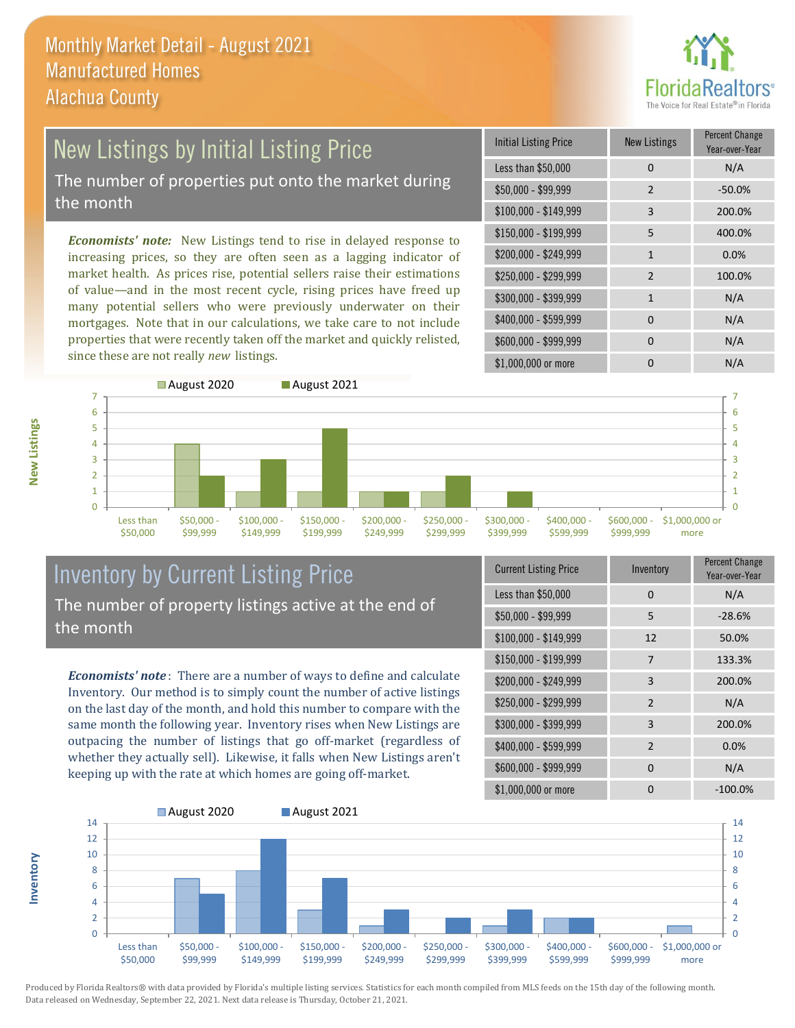

## New Listings by Initial Listing Price The number of properties put onto the market during

the month

*Economists' note:* New Listings tend to rise in delayed response to increasing prices, so they are often seen as a lagging indicator of market health. As prices rise, potential sellers raise their estimations of value—and in the most recent cycle, rising prices have freed up many potential sellers who were previously underwater on their mortgages. Note that in our calculations, we take care to not include properties that were recently taken off the market and quickly relisted, since these are not really *new* listings.

| <b>Initial Listing Price</b> | <b>New Listings</b> | <b>Percent Change</b><br>Year-over-Year |
|------------------------------|---------------------|-----------------------------------------|
| Less than \$50,000           | $\Omega$            | N/A                                     |
| $$50,000 - $99,999$          | 2                   | $-50.0%$                                |
| $$100,000 - $149,999$        | 3                   | 200.0%                                  |
| \$150,000 - \$199,999        | 5                   | 400.0%                                  |
| \$200,000 - \$249,999        | $\mathbf{1}$        | 0.0%                                    |
| \$250,000 - \$299,999        | $\mathcal{P}$       | 100.0%                                  |
| \$300,000 - \$399,999        | 1                   | N/A                                     |
| \$400,000 - \$599,999        | $\Omega$            | N/A                                     |
| \$600,000 - \$999,999        | $\Omega$            | N/A                                     |
| \$1,000,000 or more          |                     | N/A                                     |



#### Inventory by Current Listing Price The number of property listings active at the end of the month

*Economists' note* : There are a number of ways to define and calculate Inventory. Our method is to simply count the number of active listings on the last day of the month, and hold this number to compare with the same month the following year. Inventory rises when New Listings are outpacing the number of listings that go off-market (regardless of whether they actually sell). Likewise, it falls when New Listings aren't keeping up with the rate at which homes are going off-market.

| <b>Current Listing Price</b> | Inventory      | Percent Change<br>Year-over-Year |
|------------------------------|----------------|----------------------------------|
| Less than \$50,000           | $\Omega$       | N/A                              |
| $$50,000 - $99,999$          | 5              | $-28.6%$                         |
| $$100,000 - $149,999$        | 12             | 50.0%                            |
| $$150,000 - $199,999$        | 7              | 133.3%                           |
| \$200,000 - \$249,999        | 3              | 200.0%                           |
| \$250,000 - \$299,999        | 2              | N/A                              |
| \$300,000 - \$399,999        | 3              | 200.0%                           |
| \$400,000 - \$599,999        | $\overline{2}$ | 0.0%                             |
| \$600,000 - \$999,999        | $\Omega$       | N/A                              |
| \$1,000,000 or more          |                | $-100.0\%$                       |



Produced by Florida Realtors® with data provided by Florida's multiple listing services. Statistics for each month compiled from MLS feeds on the 15th day of the following month. Data released on Wednesday, September 22, 2021. Next data release is Thursday, October 21, 2021.

**Inventory**